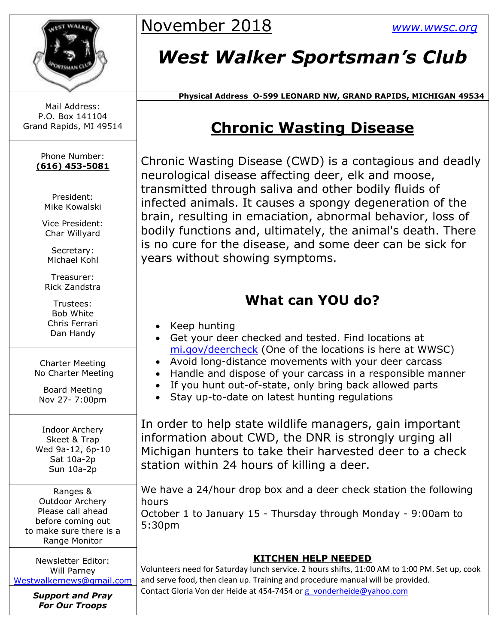

November 2018 *[www.wwsc.org](http://www.wwsc.org/)*

# *West Walker Sportsman's Club*

 **Physical Address O-599 LEONARD NW, GRAND RAPIDS, MICHIGAN 49534**

### **Chronic Wasting Disease**

Chronic Wasting Disease (CWD) is a contagious and deadly neurological disease affecting deer, elk and moose, transmitted through saliva and other bodily fluids of infected animals. It causes a spongy degeneration of the brain, resulting in emaciation, abnormal behavior, loss of bodily functions and, ultimately, the animal's death. There is no cure for the disease, and some deer can be sick for years without showing symptoms.

### **What can YOU do?**

- Keep hunting
- Get your deer checked and tested. Find locations at [mi.gov/deercheck](http://www.mi.gov/deercheck/) (One of the locations is here at WWSC)
- Avoid long-distance movements with your deer carcass
- Handle and dispose of your carcass in a responsible manner
- If you hunt out-of-state, only bring back allowed parts
- Stay up-to-date on latest hunting regulations

In order to help state wildlife managers, gain important information about CWD, the DNR is strongly urging all Michigan hunters to take their harvested deer to a check station within 24 hours of killing a deer.

We have a 24/hour drop box and a deer check station the following hours October 1 to January 15 - Thursday through Monday - 9:00am to 5:30pm

#### **KITCHEN HELP NEEDED**

Volunteers need for Saturday lunch service. 2 hours shifts, 11:00 AM to 1:00 PM. Set up, cook and serve food, then clean up. Training and procedure manual will be provided. Contact Gloria Von der Heide at 454-7454 or [g\\_vonderheide@yahoo.com](mailto:g_vonderheide@yahoo.com)

Mail Address: P.O. Box 141104 Grand Rapids, MI 49514

> Phone Number: **(616) 453-5081**

> > President: Mike Kowalski

Vice President: Char Willyard

Secretary: Michael Kohl

Treasurer: Rick Zandstra

Trustees: Bob White Chris Ferrari Dan Handy

Charter Meeting No Charter Meeting

Board Meeting Nov 27- 7:00pm

Indoor Archery Skeet & Trap Wed 9a-12, 6p-10 Sat 10a-2p Sun 10a-2p

Ranges & Outdoor Archery Please call ahead before coming out to make sure there is a Range Monitor

Newsletter Editor: Will Parney [Westwalkernews@gmail.com](mailto:Westwalkernews@gmail.com)

> *Support and Pray For Our Troops*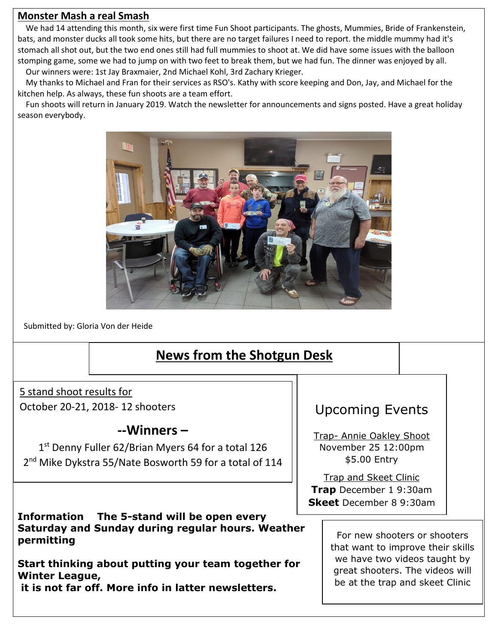#### **Monster Mash a real Smash**

We had 14 attending this month, six were first time Fun Shoot participants. The ghosts, Mummies, Bride of Frankenstein, bats, and monster ducks all took some hits, but there are no target failures I need to report. the middle mummy had it's stomach all shot out, but the two end ones still had full mummies to shoot at. We did have some issues with the balloon stomping game, some we had to jump on with two feet to break them, but we had fun. The dinner was enjoyed by all. Our winners were: 1st Jay Braxmaier, 2nd Michael Kohl, 3rd Zachary Krieger.

My thanks to Michael and Fran for their services as RSO's. Kathy with score keeping and Don, Jay, and Michael for the kitchen help. As always, these fun shoots are a team effort.

Fun shoots will return in January 2019. Watch the newsletter for announcements and signs posted. Have a great holiday season everybody.



Submitted by: Gloria Von der Heide

### **News from the Shotgun Desk**

5 stand shoot results for October 20-21, 2018- 12 shooters

#### **--Winners –**

1 st Denny Fuller 62/Brian Myers 64 for a total 126 2<sup>nd</sup> Mike Dykstra 55/Nate Bosworth 59 for a total of 114

**Information The 5-stand will be open every Saturday and Sunday during regular hours. Weather permitting**

**Start thinking about putting your team together for Winter League, it is not far off. More info in latter newsletters.**

### Upcoming Events

Trap- Annie Oakley Shoot November 25 12:00pm \$5.00 Entry

Trap and Skeet Clinic **Trap** December 1 9:30am **Skeet** December 8 9:30am

> For new shooters or shooters that want to improve their skills we have two videos taught by great shooters. The videos will be at the trap and skeet Clinic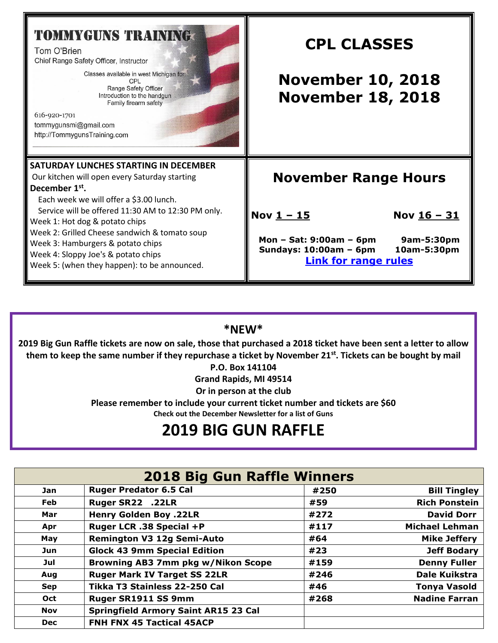| <b>TOMMYGUNS TRAINING</b><br>Tom O'Brien<br>Chief Range Safety Officer, Instructor<br>Classes available in west Michigan for:<br>CPL<br>Range Safety Officer<br>Introduction to the handgun<br>Family firearm safety<br>616-920-1701<br>tommygunsmi@gmail.com<br>http://TommygunsTraining.com | <b>CPL CLASSES</b><br><b>November 10, 2018</b><br><b>November 18, 2018</b>                                      |  |  |
|-----------------------------------------------------------------------------------------------------------------------------------------------------------------------------------------------------------------------------------------------------------------------------------------------|-----------------------------------------------------------------------------------------------------------------|--|--|
| SATURDAY LUNCHES STARTING IN DECEMBER<br>Our kitchen will open every Saturday starting<br>December 1 <sup>st</sup> .<br>Each week we will offer a \$3.00 lunch.<br>Service will be offered 11:30 AM to 12:30 PM only.<br>Week 1: Hot dog & potato chips                                       | <b>November Range Hours</b><br>Nov $1 - 15$<br>Nov <u>16 - 31</u>                                               |  |  |
| Week 2: Grilled Cheese sandwich & tomato soup<br>Week 3: Hamburgers & potato chips<br>Week 4: Sloppy Joe's & potato chips<br>Week 5: (when they happen): to be announced.                                                                                                                     | Mon - Sat: $9:00am - 6pm$<br>9am-5:30pm<br>Sundays: 10:00am - 6pm<br>10am-5:30pm<br><b>Link for range rules</b> |  |  |

#### **\*NEW\***

**2019 Big Gun Raffle tickets are now on sale, those that purchased a 2018 ticket have been sent a letter to allow them to keep the same number if they repurchase a ticket by November 21st. Tickets can be bought by mail** 

**P.O. Box 141104**

**Grand Rapids, MI 49514**

**Or in person at the club**

**Please remember to include your current ticket number and tickets are \$60 Check out the December Newsletter for a list of Guns** 

## **2019 BIG GUN RAFFLE**

| <b>2018 Big Gun Raffle Winners</b> |                                             |      |                       |  |  |  |
|------------------------------------|---------------------------------------------|------|-----------------------|--|--|--|
| Jan                                | <b>Ruger Predator 6.5 Cal</b>               | #250 | <b>Bill Tingley</b>   |  |  |  |
| <b>Feb</b>                         | Ruger SR22 .22LR                            | #59  | <b>Rich Ponstein</b>  |  |  |  |
| Mar                                | <b>Henry Golden Boy .22LR</b>               | #272 | <b>David Dorr</b>     |  |  |  |
| Apr                                | Ruger LCR .38 Special +P                    | #117 | <b>Michael Lehman</b> |  |  |  |
| May                                | <b>Remington V3 12g Semi-Auto</b>           | #64  | <b>Mike Jeffery</b>   |  |  |  |
| <b>Jun</b>                         | <b>Glock 43 9mm Special Edition</b>         | #23  | <b>Jeff Bodary</b>    |  |  |  |
| Jul                                | <b>Browning AB3 7mm pkg w/Nikon Scope</b>   | #159 | <b>Denny Fuller</b>   |  |  |  |
| Aug                                | <b>Ruger Mark IV Target SS 22LR</b>         | #246 | Dale Kuikstra         |  |  |  |
| <b>Sep</b>                         | Tikka T3 Stainless 22-250 Cal               | #46  | <b>Tonya Vasold</b>   |  |  |  |
| Oct                                | Ruger SR1911 SS 9mm                         | #268 | <b>Nadine Farran</b>  |  |  |  |
| <b>Nov</b>                         | <b>Springfield Armory Saint AR15 23 Cal</b> |      |                       |  |  |  |
| <b>Dec</b>                         | FNH FNX 45 Tactical 45ACP                   |      |                       |  |  |  |